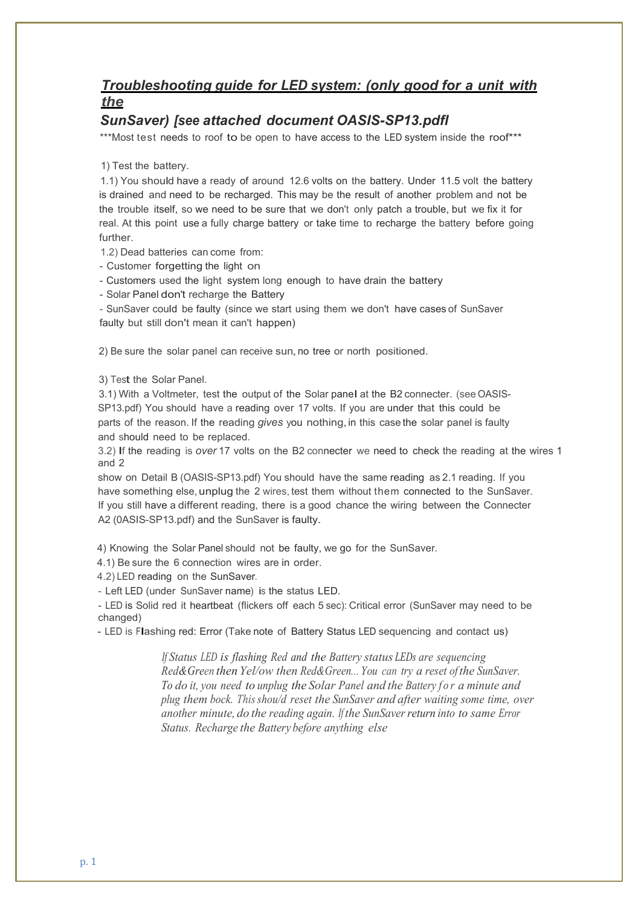## *Troubleshooting guide for LED system: (only good for a unit with the*

## *SunSaver) [see attached document OASIS-SP13.pdfl*

\*\*\*Most test needs to roof to be open to have access to the LED system inside the roof\*\*\*

1) Test the battery.

1.1) You should have a ready of around 12.6 volts on the battery. Under 11.5 volt the battery is drained and need to be recharged. This may be the result of another problem and not be the trouble itself, so we need to be sure that we don't only patch a trouble, but we fix it for real. At this point use a fully charge battery or take time to recharge the battery before going further.

1.2) Dead batteries can come from:

- Customer forgetting the light on

- Customers used the light system long enough to have drain the battery

- Solar Panel don't recharge the Battery

- SunSaver couId be faulty (since we start using them we don't have cases of SunSaver faulty but still don't mean it can't happen)

2) Be sure the solar panel can receive sun, no tree or north positioned.

3) Test the Solar Panel.

3.1) With a Voltmeter, test the output of the Solar panel at the B2 connecter. (see OASIS-SP13.pdf) You should have a reading over 17 volts. If you are under that this could be parts of the reason. If the reading *gives* you nothing,in this case the solar panel is faulty and should need to be replaced.

3.2) If the reading is *over* <sup>17</sup> volts on the B2 connecter we need to check the reading at the wires <sup>1</sup> and 2

show on Detail B (OASIS-SP13.pdf) You should have the same reading as 2.1 reading. If you have something else, unplug the 2 wires, test them without them connected to the SunSaver. If you still have a different reading, there is a good chance the wiring between the Connecter A2 (0ASIS-SP13.pdf) and the SunSaver is faulty.

4) Knowing the Solar Panel should not be faulty, we go for the SunSaver.

4.1) Be sure the 6 connection wires are in order.

4.2) LED reading on the SunSaver.

- Left LED (under SunSaver name) is the status LED.

- LED is Solid red it heartbeat (flickers off each 5 sec): Critical error (SunSaver may need to be changed)

- LED is Flashing red: Error (Take note of Battery Status LED sequencing and contact us)

*If Status LED is flashing Red and the Battery status LEDs are sequencing Red&Green then Yel/ow then Red&Green... You can try a reset of the SunSaver. To do it, you need to unplug the Solar Panel and the Battery for a minute and plug them bock. Thisshou/d reset the SunSaver and after waiting some time, over another minute, do the reading again. If the SunSaver return into to same Error Status. Recharge the Battery before anything else*